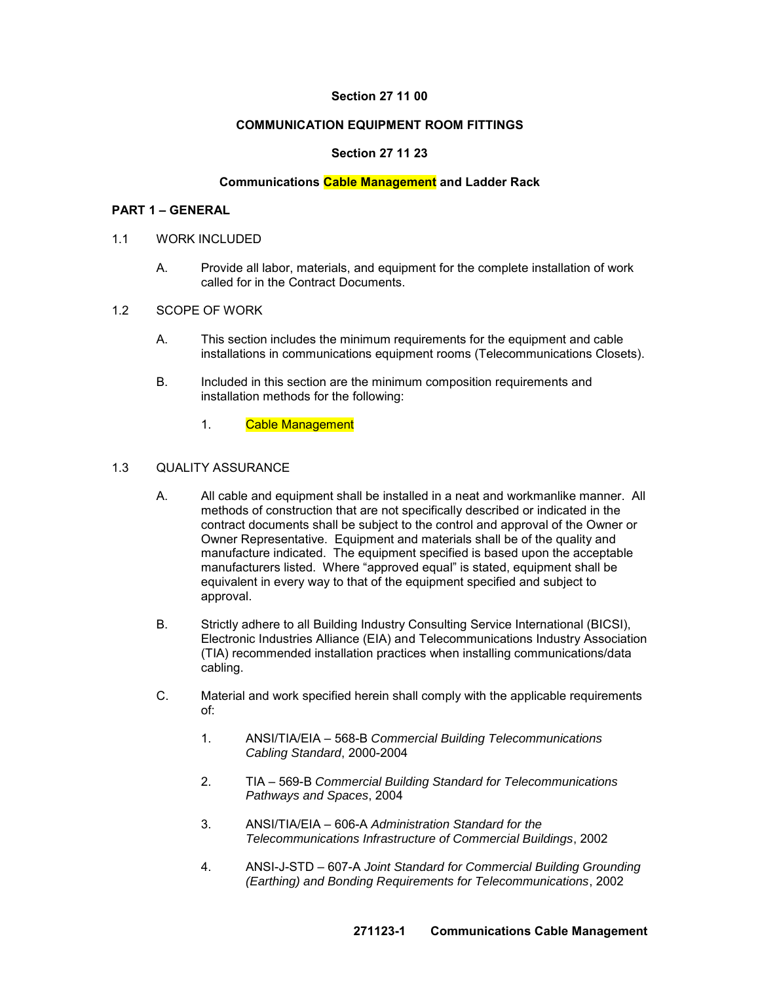## **Section 27 11 00**

#### **COMMUNICATION EQUIPMENT ROOM FITTINGS**

# **Section 27 11 23**

## **Communications Cable Management and Ladder Rack**

#### **PART 1 – GENERAL**

- 1.1 WORK INCLUDED
	- A. Provide all labor, materials, and equipment for the complete installation of work called for in the Contract Documents.
- 1.2 SCOPE OF WORK
	- A. This section includes the minimum requirements for the equipment and cable installations in communications equipment rooms (Telecommunications Closets).
	- B. Included in this section are the minimum composition requirements and installation methods for the following:
		- 1. Cable Management

### 1.3 QUALITY ASSURANCE

- A. All cable and equipment shall be installed in a neat and workmanlike manner. All methods of construction that are not specifically described or indicated in the contract documents shall be subject to the control and approval of the Owner or Owner Representative. Equipment and materials shall be of the quality and manufacture indicated. The equipment specified is based upon the acceptable manufacturers listed. Where "approved equal" is stated, equipment shall be equivalent in every way to that of the equipment specified and subject to approval.
- B. Strictly adhere to all Building Industry Consulting Service International (BICSI), Electronic Industries Alliance (EIA) and Telecommunications Industry Association (TIA) recommended installation practices when installing communications/data cabling.
- C. Material and work specified herein shall comply with the applicable requirements of:
	- 1. ANSI/TIA/EIA 568-B *Commercial Building Telecommunications Cabling Standard*, 2000-2004
	- 2. TIA 569-B *Commercial Building Standard for Telecommunications Pathways and Spaces*, 2004
	- 3. ANSI/TIA/EIA 606-A *Administration Standard for the Telecommunications Infrastructure of Commercial Buildings*, 2002
	- 4. ANSI-J-STD 607-A *Joint Standard for Commercial Building Grounding (Earthing) and Bonding Requirements for Telecommunications*, 2002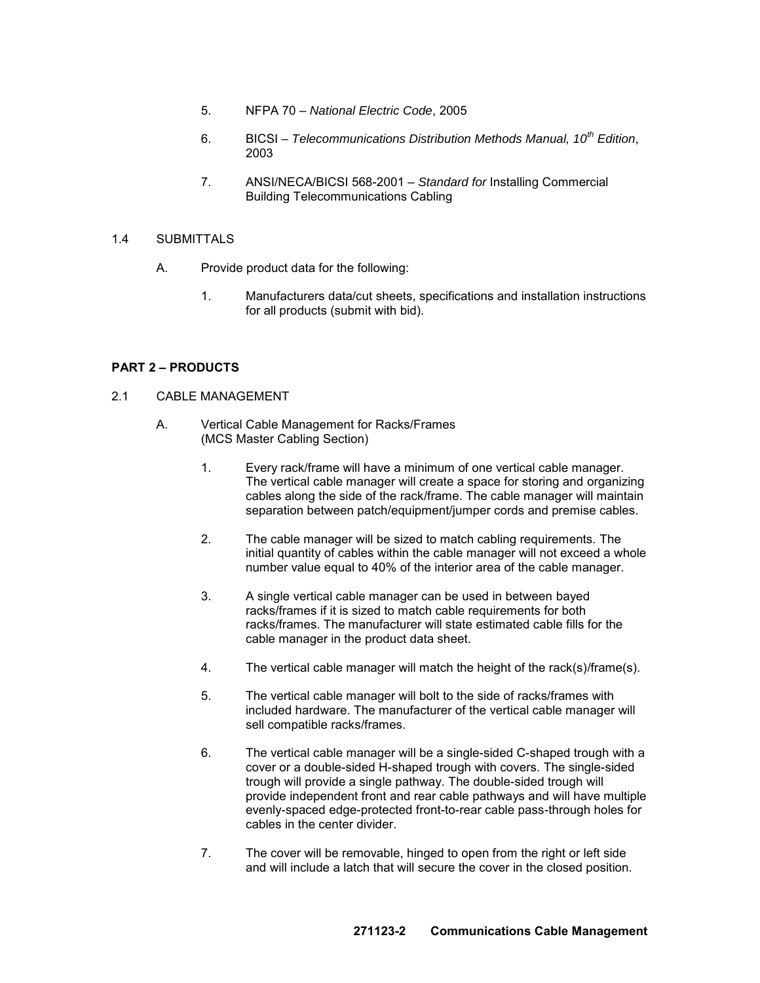- 5. NFPA 70 *National Electric Code*, 2005
- 6. BICSI *Telecommunications Distribution Methods Manual, 10th Edition*, 2003
- 7. ANSI/NECA/BICSI 568-2001 *Standard for* Installing Commercial Building Telecommunications Cabling

## 1.4 SUBMITTALS

- A. Provide product data for the following:
	- 1. Manufacturers data/cut sheets, specifications and installation instructions for all products (submit with bid).

## **PART 2 – PRODUCTS**

- 2.1 CABLE MANAGEMENT
	- A. Vertical Cable Management for Racks/Frames (MCS Master Cabling Section)
		- 1. Every rack/frame will have a minimum of one vertical cable manager. The vertical cable manager will create a space for storing and organizing cables along the side of the rack/frame. The cable manager will maintain separation between patch/equipment/jumper cords and premise cables.
		- 2. The cable manager will be sized to match cabling requirements. The initial quantity of cables within the cable manager will not exceed a whole number value equal to 40% of the interior area of the cable manager.
		- 3. A single vertical cable manager can be used in between bayed racks/frames if it is sized to match cable requirements for both racks/frames. The manufacturer will state estimated cable fills for the cable manager in the product data sheet.
		- 4. The vertical cable manager will match the height of the rack(s)/frame(s).
		- 5. The vertical cable manager will bolt to the side of racks/frames with included hardware. The manufacturer of the vertical cable manager will sell compatible racks/frames.
		- 6. The vertical cable manager will be a single-sided C-shaped trough with a cover or a double-sided H-shaped trough with covers. The single-sided trough will provide a single pathway. The double-sided trough will provide independent front and rear cable pathways and will have multiple evenly-spaced edge-protected front-to-rear cable pass-through holes for cables in the center divider.
		- 7. The cover will be removable, hinged to open from the right or left side and will include a latch that will secure the cover in the closed position.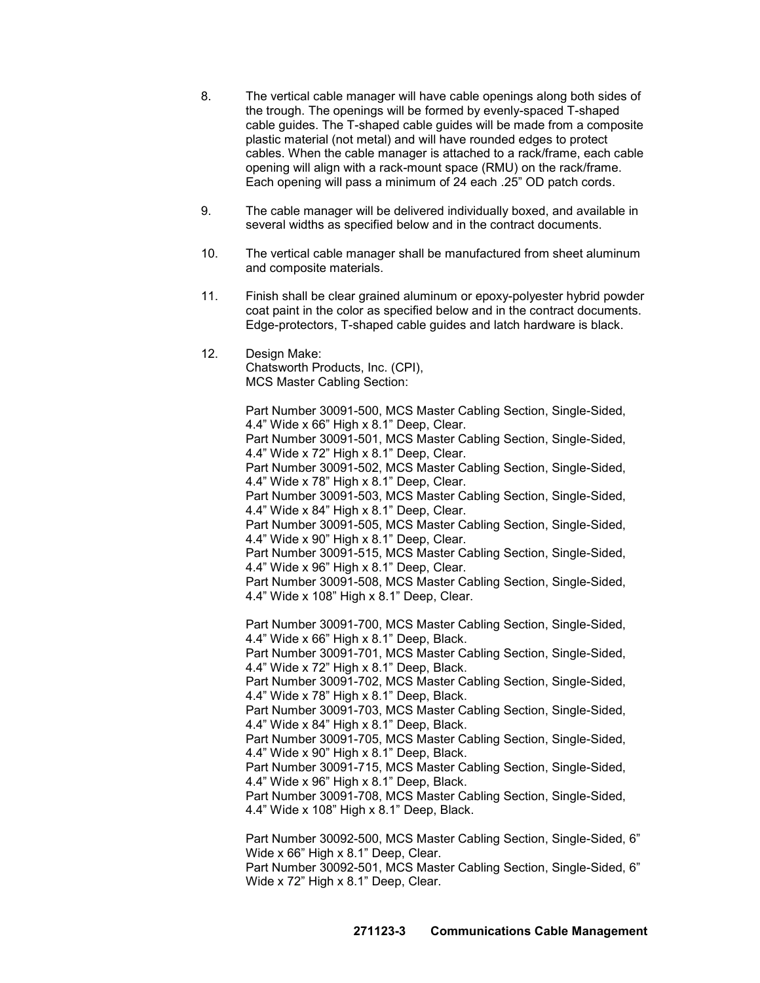- 8. The vertical cable manager will have cable openings along both sides of the trough. The openings will be formed by evenly-spaced T-shaped cable guides. The T-shaped cable guides will be made from a composite plastic material (not metal) and will have rounded edges to protect cables. When the cable manager is attached to a rack/frame, each cable opening will align with a rack-mount space (RMU) on the rack/frame. Each opening will pass a minimum of 24 each .25" OD patch cords.
- 9. The cable manager will be delivered individually boxed, and available in several widths as specified below and in the contract documents.
- 10. The vertical cable manager shall be manufactured from sheet aluminum and composite materials.
- 11. Finish shall be clear grained aluminum or epoxy-polyester hybrid powder coat paint in the color as specified below and in the contract documents. Edge-protectors, T-shaped cable guides and latch hardware is black.
- 12. Design Make:

Chatsworth Products, Inc. (CPI), MCS Master Cabling Section:

Part Number 30091-500, MCS Master Cabling Section, Single-Sided, 4.4" Wide x 66" High x 8.1" Deep, Clear.

Part Number 30091-501, MCS Master Cabling Section, Single-Sided, 4.4" Wide x 72" High x 8.1" Deep, Clear.

Part Number 30091-502, MCS Master Cabling Section, Single-Sided, 4.4" Wide x 78" High x 8.1" Deep, Clear.

Part Number 30091-503, MCS Master Cabling Section, Single-Sided, 4.4" Wide x 84" High x 8.1" Deep, Clear.

Part Number 30091-505, MCS Master Cabling Section, Single-Sided, 4.4" Wide x 90" High x 8.1" Deep, Clear.

Part Number 30091-515, MCS Master Cabling Section, Single-Sided, 4.4" Wide x 96" High x 8.1" Deep, Clear.

Part Number 30091-508, MCS Master Cabling Section, Single-Sided, 4.4" Wide x 108" High x 8.1" Deep, Clear.

Part Number 30091-700, MCS Master Cabling Section, Single-Sided, 4.4" Wide x 66" High x 8.1" Deep, Black.

Part Number 30091-701, MCS Master Cabling Section, Single-Sided, 4.4" Wide x 72" High x 8.1" Deep, Black.

Part Number 30091-702, MCS Master Cabling Section, Single-Sided, 4.4" Wide x 78" High x 8.1" Deep, Black.

Part Number 30091-703, MCS Master Cabling Section, Single-Sided, 4.4" Wide x 84" High x 8.1" Deep, Black.

Part Number 30091-705, MCS Master Cabling Section, Single-Sided, 4.4" Wide x 90" High x 8.1" Deep, Black.

Part Number 30091-715, MCS Master Cabling Section, Single-Sided, 4.4" Wide x 96" High x 8.1" Deep, Black.

Part Number 30091-708, MCS Master Cabling Section, Single-Sided, 4.4" Wide x 108" High x 8.1" Deep, Black.

Part Number 30092-500, MCS Master Cabling Section, Single-Sided, 6" Wide x 66" High x 8.1" Deep, Clear. Part Number 30092-501, MCS Master Cabling Section, Single-Sided, 6"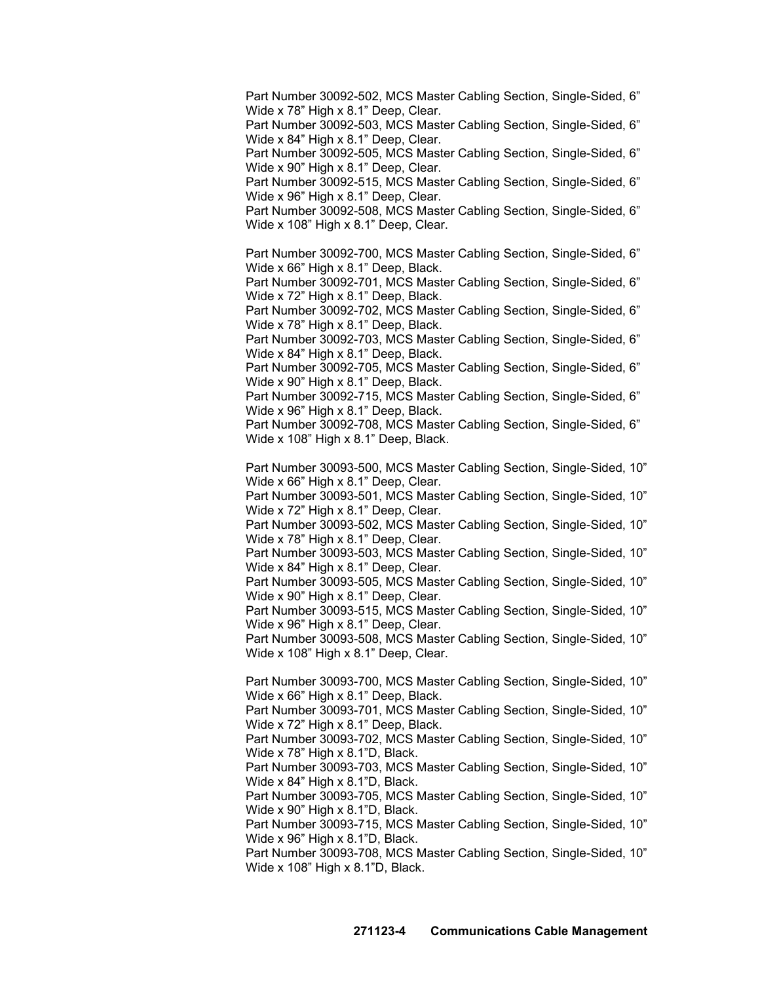Part Number 30092-502, MCS Master Cabling Section, Single-Sided, 6" Wide x 78" High x 8.1" Deep, Clear.

Part Number 30092-503, MCS Master Cabling Section, Single-Sided, 6" Wide x 84" High x 8.1" Deep, Clear.

Part Number 30092-505, MCS Master Cabling Section, Single-Sided, 6" Wide x 90" High x 8.1" Deep, Clear.

Part Number 30092-515, MCS Master Cabling Section, Single-Sided, 6" Wide x 96" High x 8.1" Deep, Clear.

Part Number 30092-508, MCS Master Cabling Section, Single-Sided, 6" Wide x 108" High x 8.1" Deep, Clear.

Part Number 30092-700, MCS Master Cabling Section, Single-Sided, 6" Wide x 66" High x 8.1" Deep, Black.

Part Number 30092-701, MCS Master Cabling Section, Single-Sided, 6" Wide x 72" High x 8.1" Deep, Black.

Part Number 30092-702, MCS Master Cabling Section, Single-Sided, 6" Wide x 78" High x 8.1" Deep, Black.

Part Number 30092-703, MCS Master Cabling Section, Single-Sided, 6" Wide x 84" High x 8.1" Deep, Black.

Part Number 30092-705, MCS Master Cabling Section, Single-Sided, 6" Wide x 90" High x 8.1" Deep, Black.

Part Number 30092-715, MCS Master Cabling Section, Single-Sided, 6" Wide x 96" High x 8.1" Deep, Black.

Part Number 30092-708, MCS Master Cabling Section, Single-Sided, 6" Wide x 108" High x 8.1" Deep, Black.

Part Number 30093-500, MCS Master Cabling Section, Single-Sided, 10" Wide x 66" High x 8.1" Deep, Clear.

Part Number 30093-501, MCS Master Cabling Section, Single-Sided, 10" Wide x 72" High x 8.1" Deep, Clear.

Part Number 30093-502, MCS Master Cabling Section, Single-Sided, 10" Wide x 78" High x 8.1" Deep, Clear.

Part Number 30093-503, MCS Master Cabling Section, Single-Sided, 10" Wide x 84" High x 8.1" Deep, Clear.

Part Number 30093-505, MCS Master Cabling Section, Single-Sided, 10" Wide x 90" High x 8.1" Deep, Clear.

Part Number 30093-515, MCS Master Cabling Section, Single-Sided, 10" Wide x 96" High x 8.1" Deep, Clear.

Part Number 30093-508, MCS Master Cabling Section, Single-Sided, 10" Wide x 108" High x 8.1" Deep, Clear.

Part Number 30093-700, MCS Master Cabling Section, Single-Sided, 10" Wide x 66" High x 8.1" Deep, Black.

Part Number 30093-701, MCS Master Cabling Section, Single-Sided, 10" Wide x 72" High x 8.1" Deep, Black.

Part Number 30093-702, MCS Master Cabling Section, Single-Sided, 10" Wide x 78" High x 8.1"D, Black.

Part Number 30093-703, MCS Master Cabling Section, Single-Sided, 10" Wide x 84" High x 8.1"D, Black.

Part Number 30093-705, MCS Master Cabling Section, Single-Sided, 10" Wide x 90" High x 8.1"D, Black.

Part Number 30093-715, MCS Master Cabling Section, Single-Sided, 10" Wide x 96" High x 8.1"D, Black.

Part Number 30093-708, MCS Master Cabling Section, Single-Sided, 10" Wide x 108" High x 8.1"D, Black.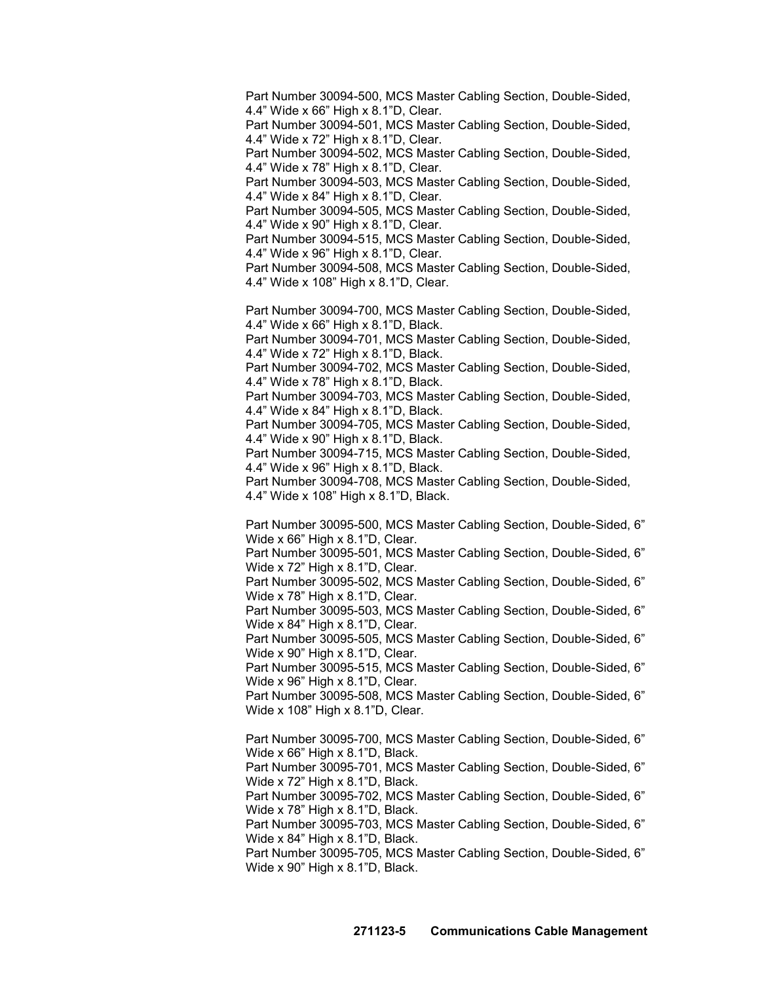Part Number 30094-500, MCS Master Cabling Section, Double-Sided, 4.4" Wide x 66" High x 8.1"D, Clear.

Part Number 30094-501, MCS Master Cabling Section, Double-Sided, 4.4" Wide x 72" High x 8.1"D, Clear.

Part Number 30094-502, MCS Master Cabling Section, Double-Sided, 4.4" Wide x 78" High x 8.1"D, Clear.

Part Number 30094-503, MCS Master Cabling Section, Double-Sided, 4.4" Wide x 84" High x 8.1"D, Clear.

Part Number 30094-505, MCS Master Cabling Section, Double-Sided, 4.4" Wide x 90" High x 8.1"D, Clear.

Part Number 30094-515, MCS Master Cabling Section, Double-Sided, 4.4" Wide x 96" High x 8.1"D, Clear.

Part Number 30094-508, MCS Master Cabling Section, Double-Sided, 4.4" Wide x 108" High x 8.1"D, Clear.

Part Number 30094-700, MCS Master Cabling Section, Double-Sided, 4.4" Wide x 66" High x 8.1"D, Black.

Part Number 30094-701, MCS Master Cabling Section, Double-Sided, 4.4" Wide x 72" High x 8.1"D, Black.

Part Number 30094-702, MCS Master Cabling Section, Double-Sided, 4.4" Wide x 78" High x 8.1"D, Black.

Part Number 30094-703, MCS Master Cabling Section, Double-Sided, 4.4" Wide x 84" High x 8.1"D, Black.

Part Number 30094-705, MCS Master Cabling Section, Double-Sided, 4.4" Wide x 90" High x 8.1"D, Black.

Part Number 30094-715, MCS Master Cabling Section, Double-Sided, 4.4" Wide x 96" High x 8.1"D, Black.

Part Number 30094-708, MCS Master Cabling Section, Double-Sided, 4.4" Wide x 108" High x 8.1"D, Black.

Part Number 30095-500, MCS Master Cabling Section, Double-Sided, 6" Wide x 66" High x 8.1"D, Clear.

Part Number 30095-501, MCS Master Cabling Section, Double-Sided, 6" Wide x 72" High x 8.1"D, Clear.

Part Number 30095-502, MCS Master Cabling Section, Double-Sided, 6" Wide x 78" High x 8.1"D, Clear.

Part Number 30095-503, MCS Master Cabling Section, Double-Sided, 6" Wide x 84" High x 8.1"D, Clear.

Part Number 30095-505, MCS Master Cabling Section, Double-Sided, 6" Wide x 90" High x 8.1"D, Clear.

Part Number 30095-515, MCS Master Cabling Section, Double-Sided, 6" Wide x 96" High x 8.1"D, Clear.

Part Number 30095-508, MCS Master Cabling Section, Double-Sided, 6" Wide x 108" High x 8.1"D, Clear.

Part Number 30095-700, MCS Master Cabling Section, Double-Sided, 6" Wide x 66" High x 8.1"D, Black.

Part Number 30095-701, MCS Master Cabling Section, Double-Sided, 6" Wide x 72" High x 8.1"D, Black.

Part Number 30095-702, MCS Master Cabling Section, Double-Sided, 6" Wide x 78" High x 8.1"D, Black.

Part Number 30095-703, MCS Master Cabling Section, Double-Sided, 6" Wide x 84" High x 8.1"D, Black.

Part Number 30095-705, MCS Master Cabling Section, Double-Sided, 6" Wide x 90" High x 8.1"D, Black.